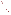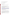# **AGENCY:** ENVIRONMENTAL PROTECTION AGENCY (EPA) **TITLE:** Clean Diesel Emerging Technologies Program ACTION: Request for Proposals (RFP) **RFP:** EPA-OAR-OTAQ-08-06 **CFDA:** 66.039 **SUMMARY:** Formal Agency responses to questions regarding the subject RFP **DATE:** August 25, 2008

# *Q1: Can I use a technology not listed on the Emerging Technologies List?*

**A1:** No. Only technologies listed on the emerging technologies list by the close of the RFP (September 22) are eligible for use under this RFP.

# *Q2: If I want to use a technology not listed on the Emerging Technologies List what can I do to have it placed on the list?*

**A2:** In order to begin the process of placement on the Emerging Technologies List, the manufacturer must first fill out an application and submit it to [cleandiesel@epa.gov](mailto:cleandiesel@epa.gov) ([http://www.epa.gov/otaq/retrofit/documents/forms.xls\)](http://www.epa.gov/otaq/retrofit/documents/forms.xls). Manufacturers should also submit an explanation describing why the technology should be considered an emerging technology. Please note, there is no guarantee a manufacturer will be able to be placed on the list before the close of the RFP.

#### *Q3: Does a university qualify as an eligible entity?*

A3: A university must qualify as a "state agency" to qualify as an eligible entity.

#### *Q4: Could you explain what defines, "jurisdiction over transportation or air quality"?*

**A4:** This means that the entity applying for funds must have the right to exercise authority over transportation of air quality issues. For example a state environmental department would qualify but not a state department of corrections since their focus is not on transportation or air quality issues.

#### *Q5: Can private fleets be used in the EPA Clean Diesel Emerging Technologies Program?*